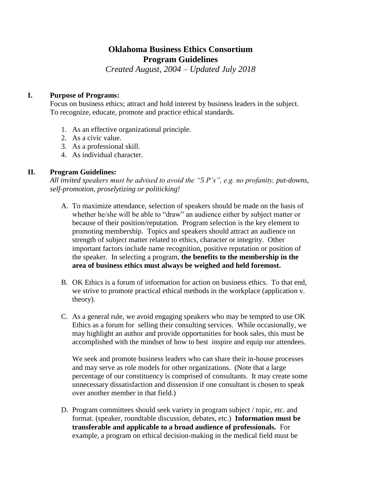# **Oklahoma Business Ethics Consortium Program Guidelines**

*Created August, 2004 – Updated July 2018*

## **I. Purpose of Programs:**

Focus on business ethics; attract and hold interest by business leaders in the subject. To recognize, educate, promote and practice ethical standards.

- 1. As an effective organizational principle.
- 2. As a civic value.
- 3. As a professional skill.
- 4. As individual character.

# **II. Program Guidelines:**

*All invited speakers must be advised to avoid the "5 P's", e.g. no profanity, put-downs, self-promotion, proselytizing or politicking!*

- A. To maximize attendance, selection of speakers should be made on the basis of whether he/she will be able to "draw" an audience either by subject matter or because of their position/reputation. Program selection is the key element to promoting membership. Topics and speakers should attract an audience on strength of subject matter related to ethics, character or integrity. Other important factors include name recognition, positive reputation or position of the speaker. In selecting a program, **the benefits to the membership in the area of business ethics must always be weighed and held foremost.**
- B. OK Ethics is a forum of information for action on business ethics. To that end, we strive to promote practical ethical methods in the workplace (application v. theory).
- C. As a general rule, we avoid engaging speakers who may be tempted to use OK Ethics as a forum for selling their consulting services. While occasionally, we may highlight an author and provide opportunities for book sales, this must be accomplished with the mindset of how to best inspire and equip our attendees.

We seek and promote business leaders who can share their in-house processes and may serve as role models for other organizations. (Note that a large percentage of our constituency is comprised of consultants. It may create some unnecessary dissatisfaction and dissension if one consultant is chosen to speak over another member in that field.)

D. Program committees should seek variety in program subject / topic, etc. and format. (speaker, roundtable discussion, debates, etc.) **Information must be transferable and applicable to a broad audience of professionals.** For example, a program on ethical decision-making in the medical field must be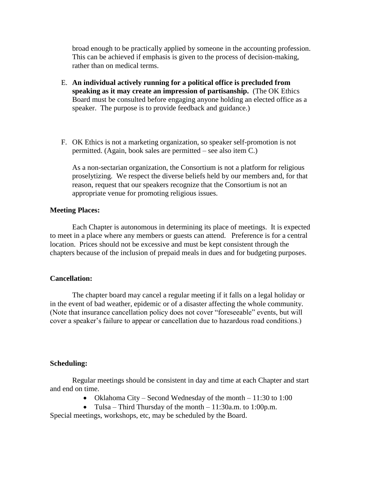broad enough to be practically applied by someone in the accounting profession. This can be achieved if emphasis is given to the process of decision-making, rather than on medical terms.

- E. **An individual actively running for a political office is precluded from speaking as it may create an impression of partisanship.** (The OK Ethics Board must be consulted before engaging anyone holding an elected office as a speaker. The purpose is to provide feedback and guidance.)
- F. OK Ethics is not a marketing organization, so speaker self-promotion is not permitted. (Again, book sales are permitted – see also item C.)

As a non-sectarian organization, the Consortium is not a platform for religious proselytizing. We respect the diverse beliefs held by our members and, for that reason, request that our speakers recognize that the Consortium is not an appropriate venue for promoting religious issues.

## **Meeting Places:**

Each Chapter is autonomous in determining its place of meetings. It is expected to meet in a place where any members or guests can attend. Preference is for a central location. Prices should not be excessive and must be kept consistent through the chapters because of the inclusion of prepaid meals in dues and for budgeting purposes.

### **Cancellation:**

The chapter board may cancel a regular meeting if it falls on a legal holiday or in the event of bad weather, epidemic or of a disaster affecting the whole community. (Note that insurance cancellation policy does not cover "foreseeable" events, but will cover a speaker's failure to appear or cancellation due to hazardous road conditions.)

### **Scheduling:**

Regular meetings should be consistent in day and time at each Chapter and start and end on time.

- Oklahoma City Second Wednesday of the month 11:30 to 1:00
- Tulsa Third Thursday of the month  $11:30a$ .m. to  $1:00p$ .m.

Special meetings, workshops, etc, may be scheduled by the Board.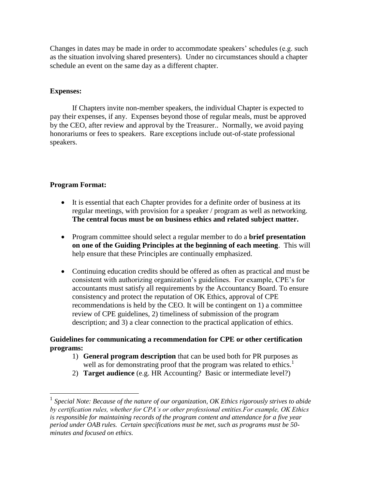Changes in dates may be made in order to accommodate speakers' schedules (e.g. such as the situation involving shared presenters). Under no circumstances should a chapter schedule an event on the same day as a different chapter.

## **Expenses:**

If Chapters invite non-member speakers, the individual Chapter is expected to pay their expenses, if any. Expenses beyond those of regular meals, must be approved by the CEO, after review and approval by the Treasurer.. Normally, we avoid paying honorariums or fees to speakers. Rare exceptions include out-of-state professional speakers.

# **Program Format:**

 $\overline{a}$ 

- It is essential that each Chapter provides for a definite order of business at its regular meetings, with provision for a speaker / program as well as networking. **The central focus must be on business ethics and related subject matter.**
- Program committee should select a regular member to do a **brief presentation on one of the Guiding Principles at the beginning of each meeting**. This will help ensure that these Principles are continually emphasized.
- Continuing education credits should be offered as often as practical and must be consistent with authorizing organization's guidelines. For example, CPE's for accountants must satisfy all requirements by the Accountancy Board. To ensure consistency and protect the reputation of OK Ethics, approval of CPE recommendations is held by the CEO. It will be contingent on 1) a committee review of CPE guidelines, 2) timeliness of submission of the program description; and 3) a clear connection to the practical application of ethics.

## **Guidelines for communicating a recommendation for CPE or other certification programs:**

- 1) **General program description** that can be used both for PR purposes as well as for demonstrating proof that the program was related to ethics.<sup>1</sup>
- 2) **Target audience** (e.g. HR Accounting? Basic or intermediate level?)

<sup>&</sup>lt;sup>1</sup> Special Note: Because of the nature of our organization, OK Ethics rigorously strives to abide *by certification rules, whether for CPA's or other professional entities.For example, OK Ethics is responsible for maintaining records of the program content and attendance for a five year period under OAB rules. Certain specifications must be met, such as programs must be 50 minutes and focused on ethics.*